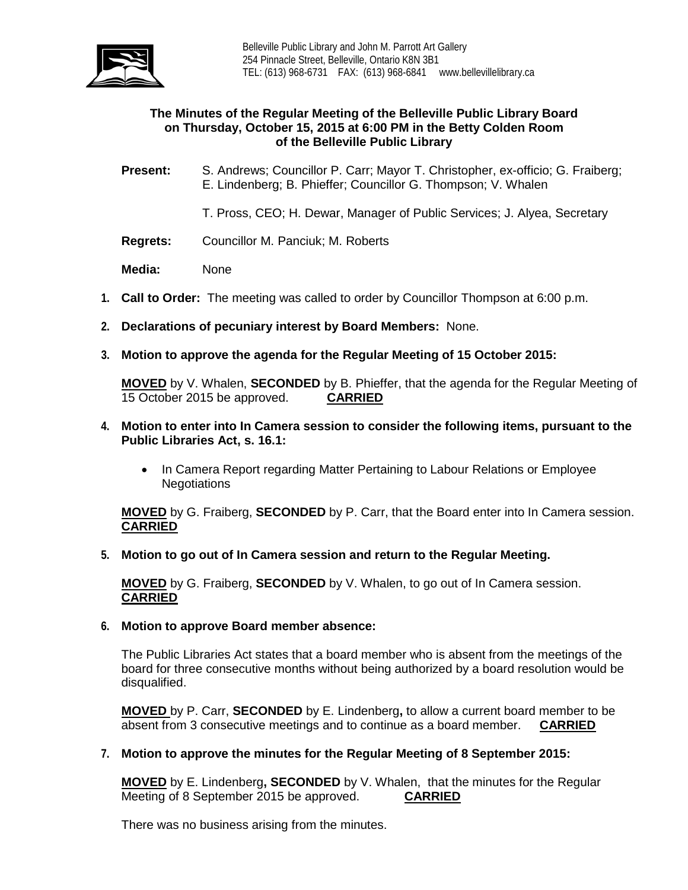

## **The Minutes of the Regular Meeting of the Belleville Public Library Board on Thursday, October 15, 2015 at 6:00 PM in the Betty Colden Room of the Belleville Public Library**

- **Present:** S. Andrews; Councillor P. Carr; Mayor T. Christopher, ex-officio; G. Fraiberg; E. Lindenberg; B. Phieffer; Councillor G. Thompson; V. Whalen
	- T. Pross, CEO; H. Dewar, Manager of Public Services; J. Alyea, Secretary
- **Regrets:** Councillor M. Panciuk; M. Roberts
- **Media:** None
- **1. Call to Order:** The meeting was called to order by Councillor Thompson at 6:00 p.m.
- **2. Declarations of pecuniary interest by Board Members:** None.
- **3. Motion to approve the agenda for the Regular Meeting of 15 October 2015:**

**MOVED** by V. Whalen, **SECONDED** by B. Phieffer, that the agenda for the Regular Meeting of 15 October 2015 be approved. 15 October 2015 be approved.

- **4. Motion to enter into In Camera session to consider the following items, pursuant to the Public Libraries Act, s. 16.1:** 
	- In Camera Report regarding Matter Pertaining to Labour Relations or Employee **Negotiations**

**MOVED** by G. Fraiberg, **SECONDED** by P. Carr, that the Board enter into In Camera session. **CARRIED**

**5. Motion to go out of In Camera session and return to the Regular Meeting.** 

**MOVED** by G. Fraiberg, **SECONDED** by V. Whalen, to go out of In Camera session. **CARRIED**

#### **6. Motion to approve Board member absence:**

The Public Libraries Act states that a board member who is absent from the meetings of the board for three consecutive months without being authorized by a board resolution would be disqualified.

**MOVED** by P. Carr, **SECONDED** by E. Lindenberg**,** to allow a current board member to be absent from 3 consecutive meetings and to continue as a board member. **CARRIED**

#### **7. Motion to approve the minutes for the Regular Meeting of 8 September 2015:**

**MOVED** by E. Lindenberg, **SECONDED** by V. Whalen, that the minutes for the Regular Meeting of 8 September 2015 be approved. Meeting of 8 September 2015 be approved.

There was no business arising from the minutes.